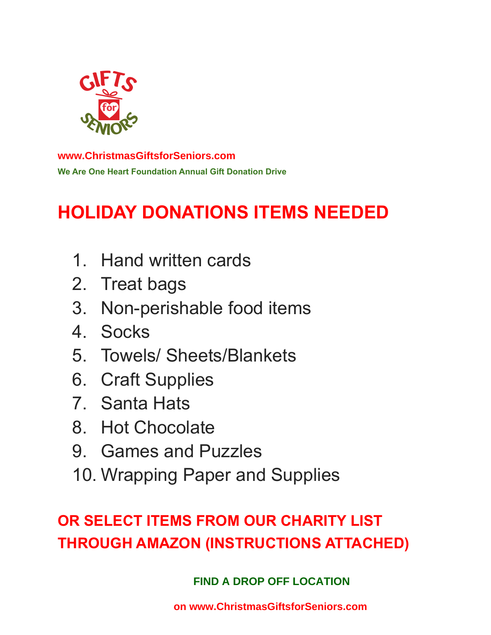

#### **We Are One Heart Foundation Annual Gift Donation Drive [www.ChristmasGiftsforSeniors.com](http://www.ChristmasGiftsforSeniors.com)**

# **HOLIDAY DONATIONS ITEMS NEEDED**

- 1. Hand written cards
- 2. Treat bags
- 3. Non-perishable food items
- 4. Socks
- 5. Towels/ Sheets/Blankets
- 6. Craft Supplies
- 7. Santa Hats
- 8. Hot Chocolate
- 9. Games and Puzzles
- 10. Wrapping Paper and Supplies

## **OR SELECT ITEMS FROM OUR CHARITY LIST THROUGH AMAZON (INSTRUCTIONS ATTACHED)**

**[FND A DROP OFF LOCATION](https://www.christmasgiftsforseniors.com/drop-off-locations) FIND A DROP OFF LOCATION**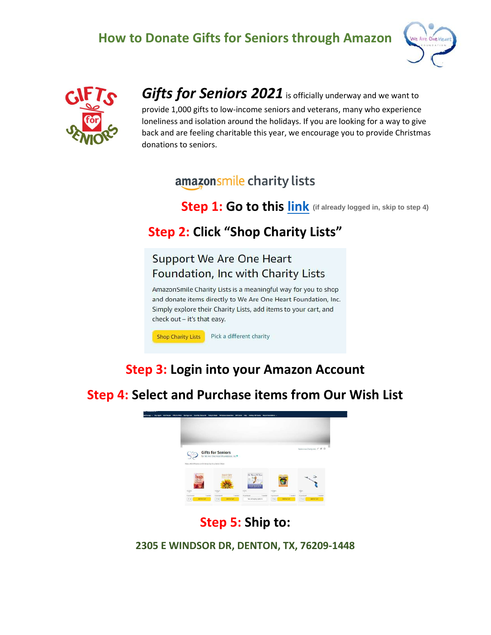#### How to Donate Gifts for Seniors through Amazon





[Gifts for Seniors 2021](http://www.christmasgiftsforseniors.com) is officially underway and we want to provide 1,000 gifts to low-income seniors and veterans, many who experience loneliness and isolation around the holidays. If you are looking for a way to give back and are feeling charitable this year, we encourage you to provide Christmas donations to seniors.

#### amazonsmile charity lists

Step 1: Go to this [link](https://smile.amazon.com/hz/charitylist/ls/14F7570ILWKSU/ref=smi_ext_lnk_lcl_cl) **(if already logged in, skip to step 4)**

#### Step 2: Click "Shop Charity Lists"

#### **Support We Are One Heart** Foundation, Inc with Charity Lists

AmazonSmile Charity Lists is a meaningful way for you to shop and donate items directly to We Are One Heart Foundation, Inc. Simply explore their Charity Lists, add items to your cart, and check out - it's that easy.

**Shop Charity Lists** Pick a different charity

### Step 3: Login into your Amazon Account

Step 4: Select and Purchase items from Our Wish List



#### Step 5: Ship to:

2305 E WINDSOR DR, DENTON, TX, 76209-1448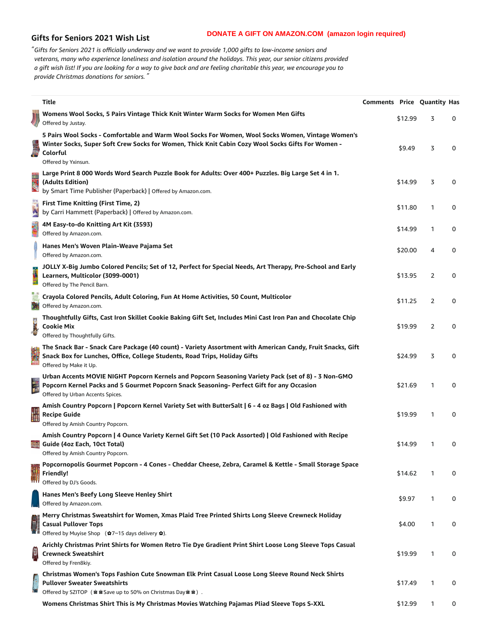#### **Gifts for Seniors 2021 Wish List**

"Gifts for Seniors 2021 is officially underway and we want to provide 1,000 gifts to low-income seniors and veterans, many who experience loneliness and isolation around the holidays. This year, our senior citizens provided a gift wish list! If you are looking for a way to give back and are feeling charitable this year, we encourage you to *provide Christmas donations for seniors. "*

|                               | <b>Title</b>                                                                                                                                                                                                                              | <b>Comments Price Quantity Has</b> |         |   |   |
|-------------------------------|-------------------------------------------------------------------------------------------------------------------------------------------------------------------------------------------------------------------------------------------|------------------------------------|---------|---|---|
|                               | Womens Wool Socks, 5 Pairs Vintage Thick Knit Winter Warm Socks for Women Men Gifts<br>Offered by Justay.                                                                                                                                 |                                    | \$12.99 | 3 | 0 |
|                               | 5 Pairs Wool Socks - Comfortable and Warm Wool Socks For Women, Wool Socks Women, Vintage Women's<br>Winter Socks, Super Soft Crew Socks for Women, Thick Knit Cabin Cozy Wool Socks Gifts For Women -<br>Colorful<br>Offered by Yxinsun. |                                    | \$9.49  | 3 | 0 |
|                               | Large Print 8 000 Words Word Search Puzzle Book for Adults: Over 400+ Puzzles. Big Large Set 4 in 1.<br>(Adults Edition)<br>by Smart Time Publisher (Paperback)   Offered by Amazon.com.                                                  |                                    | \$14.99 | 3 | 0 |
|                               | <b>First Time Knitting (First Time, 2)</b><br>by Carri Hammett (Paperback)   Offered by Amazon.com.                                                                                                                                       |                                    | \$11.80 | 1 | 0 |
| <b>ASS</b>                    | 4M Easy-to-do Knitting Art Kit (3593)<br>Offered by Amazon.com.                                                                                                                                                                           |                                    | \$14.99 | 1 | 0 |
|                               | Hanes Men's Woven Plain-Weave Pajama Set<br>Offered by Amazon.com.                                                                                                                                                                        |                                    | \$20.00 | 4 | 0 |
| <b>ESPE</b>                   | JOLLY X-Big Jumbo Colored Pencils; Set of 12, Perfect for Special Needs, Art Therapy, Pre-School and Early<br>Learners, Multicolor (3099-0001)<br>Offered by The Pencil Barn.                                                             |                                    | \$13.95 | 2 | 0 |
| <b>CONTENT</b><br>PENCIS<br>N | Crayola Colored Pencils, Adult Coloring, Fun At Home Activities, 50 Count, Multicolor<br>Offered by Amazon.com.                                                                                                                           |                                    | \$11.25 | 2 | 0 |
|                               | Thoughtfully Gifts, Cast Iron Skillet Cookie Baking Gift Set, Includes Mini Cast Iron Pan and Chocolate Chip<br><b>Cookie Mix</b><br>Offered by Thoughtfully Gifts.                                                                       |                                    | \$19.99 | 2 | 0 |
|                               | The Snack Bar - Snack Care Package (40 count) - Variety Assortment with American Candy, Fruit Snacks, Gift<br>Snack Box for Lunches, Office, College Students, Road Trips, Holiday Gifts<br>Offered by Make it Up.                        |                                    | \$24.99 | 3 | 0 |
| in<br>1                       | Urban Accents MOVIE NIGHT Popcorn Kernels and Popcorn Seasoning Variety Pack (set of 8) - 3 Non-GMO<br>Popcorn Kernel Packs and 5 Gourmet Popcorn Snack Seasoning- Perfect Gift for any Occasion<br>Offered by Urban Accents Spices.      |                                    | \$21.69 | 1 | 0 |
|                               | Amish Country Popcorn   Popcorn Kernel Variety Set with ButterSalt   6 - 4 oz Bags   Old Fashioned with<br><b>Recipe Guide</b><br>Offered by Amish Country Popcorn.                                                                       |                                    | \$19.99 | 1 | 0 |
|                               | Amish Country Popcorn   4 Ounce Variety Kernel Gift Set (10 Pack Assorted)   Old Fashioned with Recipe<br>Guide (4oz Each, 10ct Total)<br>Offered by Amish Country Popcorn.                                                               |                                    | \$14.99 | 1 | 0 |
|                               | Popcornopolis Gourmet Popcorn - 4 Cones - Cheddar Cheese, Zebra, Caramel & Kettle - Small Storage Space<br>Friendly!<br>Offered by DJ's Goods.                                                                                            |                                    | \$14.62 | 1 | 0 |
|                               | Hanes Men's Beefy Long Sleeve Henley Shirt<br>Offered by Amazon.com.                                                                                                                                                                      |                                    | \$9.97  | 1 | 0 |
| 美国                            | Merry Christmas Sweatshirt for Women, Xmas Plaid Tree Printed Shirts Long Sleeve Crewneck Holiday<br><b>Casual Pullover Tops</b><br>Offered by Muyise Shop ( $\hat{Q}$ 7~15 days delivery $\hat{Q}$ ).                                    |                                    | \$4.00  | 1 | 0 |
| 19                            | Arichly Christmas Print Shirts for Women Retro Tie Dye Gradient Print Shirt Loose Long Sleeve Tops Casual<br><b>Crewneck Sweatshirt</b><br>Offered by Fren8kiy.                                                                           |                                    | \$19.99 | 1 | 0 |
| hat                           | Christmas Women's Tops Fashion Cute Snowman Elk Print Casual Loose Long Sleeve Round Neck Shirts<br><b>Pullover Sweater Sweatshirts</b><br>Offered by SZITOP ( a a Save up to 50% on Christmas Day a a ) .                                |                                    | \$17.49 | 1 | 0 |
|                               | Womens Christmas Shirt This is My Christmas Movies Watching Pajamas Pliad Sleeve Tops S-XXL                                                                                                                                               |                                    | \$12.99 | 1 | 0 |